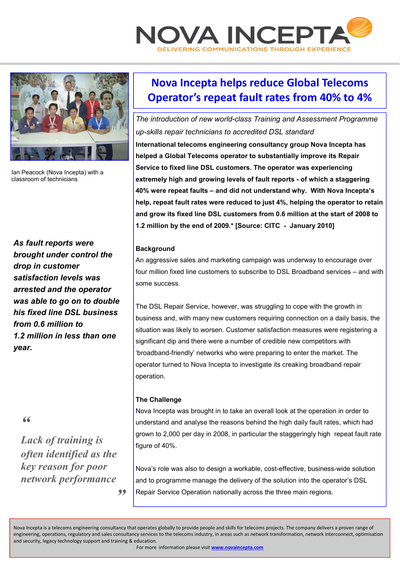



Ian Peacock (Nova Incepta) with a classroom of technicians

*As fault reports were brought under control the drop in customer satisfaction levels was arrested and the operator was able to go on to double his fixed line DSL business from 0.6 million to 1.2 million in less than one year.* 

*"* 

*Lack of training is often identified as the key reason for poor network performance "* 

# **Nova Incepta helps reduce Global Telecoms Operator's repeat fault rates from 40% to 4%**

*The introduction of new world-class Training and Assessment Programme up-skills repair technicians to accredited DSL standard*  **International telecoms engineering consultancy group Nova Incepta has helped a Global Telecoms operator to substantially improve its Repair Service to fixed line DSL customers. The operator was experiencing extremely high and growing levels of fault reports - of which a staggering 40% were repeat faults – and did not understand why. With Nova Incepta's help, repeat fault rates were reduced to just 4%, helping the operator to retain and grow its fixed line DSL customers from 0.6 million at the start of 2008 to 1.2 million by the end of 2009.\* [Source: CITC - January 2010]** 

## **Background**

An aggressive sales and marketing campaign was underway to encourage over four million fixed line customers to subscribe to DSL Broadband services – and with some success.

The DSL Repair Service, however, was struggling to cope with the growth in business and, with many new customers requiring connection on a daily basis, the situation was likely to worsen. Customer satisfaction measures were registering a significant dip and there were a number of credible new competitors with 'broadband-friendly' networks who were preparing to enter the market. The operator turned to Nova Incepta to investigate its creaking broadband repair operation.

## **The Challenge**

Nova Incepta was brought in to take an overall look at the operation in order to understand and analyse the reasons behind the high daily fault rates, which had grown to 2,000 per day in 2008, in particular the staggeringly high repeat fault rate figure of 40%.

Nova's role was also to design a workable, cost-effective, business-wide solution and to programme manage the delivery of the solution into the operator's DSL Repair Service Operation nationally across the three main regions.

Nova Incepta is a telecoms engineering consultancy that operates globally to provide people and skills for telecoms projects. The company delivers a proven range of engineering, operations, regulatory and sales consultancy services to the telecoms industry, in areas such as network transformation, network interconnect, optimisation and security, legacy technology support and training & education.

For more information please visit **www.novaincepta.com**